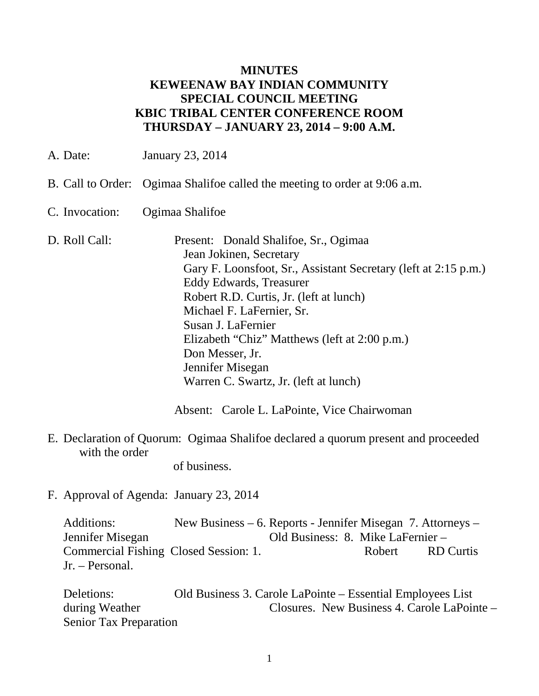### **MINUTES KEWEENAW BAY INDIAN COMMUNITY SPECIAL COUNCIL MEETING KBIC TRIBAL CENTER CONFERENCE ROOM THURSDAY – JANUARY 23, 2014 – 9:00 A.M.**

A. Date: January 23, 2014

- B. Call to Order: Ogimaa Shalifoe called the meeting to order at 9:06 a.m.
- C. Invocation: Ogimaa Shalifoe
- D. Roll Call: Present: Donald Shalifoe, Sr., Ogimaa Jean Jokinen, Secretary Gary F. Loonsfoot, Sr., Assistant Secretary (left at 2:15 p.m.) Eddy Edwards, Treasurer Robert R.D. Curtis, Jr. (left at lunch) Michael F. LaFernier, Sr. Susan J. LaFernier Elizabeth "Chiz" Matthews (left at 2:00 p.m.) Don Messer, Jr. Jennifer Misegan Warren C. Swartz, Jr. (left at lunch)

Absent: Carole L. LaPointe, Vice Chairwoman

E. Declaration of Quorum: Ogimaa Shalifoe declared a quorum present and proceeded with the order

of business.

F. Approval of Agenda: January 23, 2014

Additions: New Business – 6. Reports - Jennifer Misegan 7. Attorneys – Jennifer Misegan Old Business: 8. Mike LaFernier – Commercial Fishing Closed Session: 1. Robert RD Curtis Jr. – Personal.

Deletions: Old Business 3. Carole LaPointe – Essential Employees List during Weather Closures. New Business 4. Carole LaPointe – Senior Tax Preparation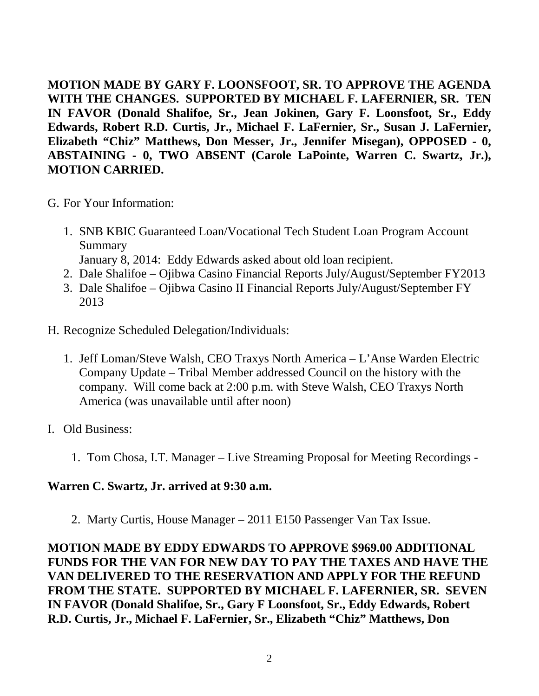**MOTION MADE BY GARY F. LOONSFOOT, SR. TO APPROVE THE AGENDA WITH THE CHANGES. SUPPORTED BY MICHAEL F. LAFERNIER, SR. TEN IN FAVOR (Donald Shalifoe, Sr., Jean Jokinen, Gary F. Loonsfoot, Sr., Eddy Edwards, Robert R.D. Curtis, Jr., Michael F. LaFernier, Sr., Susan J. LaFernier, Elizabeth "Chiz" Matthews, Don Messer, Jr., Jennifer Misegan), OPPOSED - 0, ABSTAINING - 0, TWO ABSENT (Carole LaPointe, Warren C. Swartz, Jr.), MOTION CARRIED.**

- G. For Your Information:
	- 1. SNB KBIC Guaranteed Loan/Vocational Tech Student Loan Program Account Summary
		- January 8, 2014: Eddy Edwards asked about old loan recipient.
	- 2. Dale Shalifoe Ojibwa Casino Financial Reports July/August/September FY2013
	- 3. Dale Shalifoe Ojibwa Casino II Financial Reports July/August/September FY 2013
- H. Recognize Scheduled Delegation/Individuals:
	- 1. Jeff Loman/Steve Walsh, CEO Traxys North America L'Anse Warden Electric Company Update – Tribal Member addressed Council on the history with the company. Will come back at 2:00 p.m. with Steve Walsh, CEO Traxys North America (was unavailable until after noon)
- I. Old Business:
	- 1. Tom Chosa, I.T. Manager Live Streaming Proposal for Meeting Recordings -

#### **Warren C. Swartz, Jr. arrived at 9:30 a.m.**

2. Marty Curtis, House Manager – 2011 E150 Passenger Van Tax Issue.

**MOTION MADE BY EDDY EDWARDS TO APPROVE \$969.00 ADDITIONAL FUNDS FOR THE VAN FOR NEW DAY TO PAY THE TAXES AND HAVE THE VAN DELIVERED TO THE RESERVATION AND APPLY FOR THE REFUND FROM THE STATE. SUPPORTED BY MICHAEL F. LAFERNIER, SR. SEVEN IN FAVOR (Donald Shalifoe, Sr., Gary F Loonsfoot, Sr., Eddy Edwards, Robert R.D. Curtis, Jr., Michael F. LaFernier, Sr., Elizabeth "Chiz" Matthews, Don**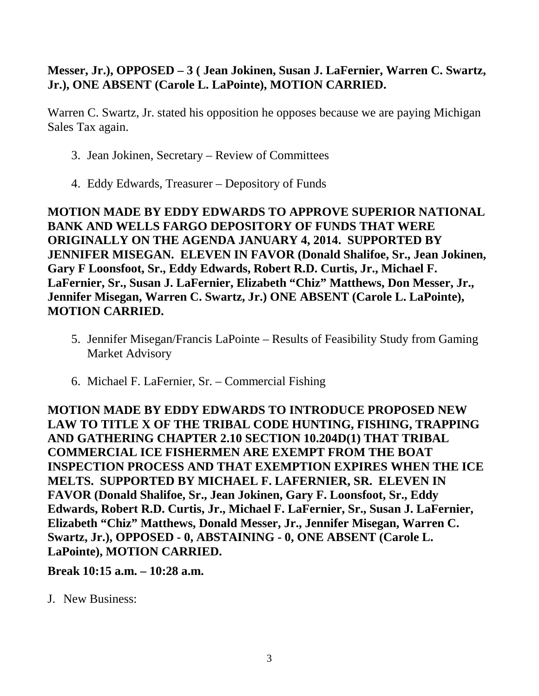## **Messer, Jr.), OPPOSED – 3 ( Jean Jokinen, Susan J. LaFernier, Warren C. Swartz, Jr.), ONE ABSENT (Carole L. LaPointe), MOTION CARRIED.**

Warren C. Swartz, Jr. stated his opposition he opposes because we are paying Michigan Sales Tax again.

- 3. Jean Jokinen, Secretary Review of Committees
- 4. Eddy Edwards, Treasurer Depository of Funds

**MOTION MADE BY EDDY EDWARDS TO APPROVE SUPERIOR NATIONAL BANK AND WELLS FARGO DEPOSITORY OF FUNDS THAT WERE ORIGINALLY ON THE AGENDA JANUARY 4, 2014. SUPPORTED BY JENNIFER MISEGAN. ELEVEN IN FAVOR (Donald Shalifoe, Sr., Jean Jokinen, Gary F Loonsfoot, Sr., Eddy Edwards, Robert R.D. Curtis, Jr., Michael F. LaFernier, Sr., Susan J. LaFernier, Elizabeth "Chiz" Matthews, Don Messer, Jr., Jennifer Misegan, Warren C. Swartz, Jr.) ONE ABSENT (Carole L. LaPointe), MOTION CARRIED.**

- 5. Jennifer Misegan/Francis LaPointe Results of Feasibility Study from Gaming Market Advisory
- 6. Michael F. LaFernier, Sr. Commercial Fishing

**MOTION MADE BY EDDY EDWARDS TO INTRODUCE PROPOSED NEW LAW TO TITLE X OF THE TRIBAL CODE HUNTING, FISHING, TRAPPING AND GATHERING CHAPTER 2.10 SECTION 10.204D(1) THAT TRIBAL COMMERCIAL ICE FISHERMEN ARE EXEMPT FROM THE BOAT INSPECTION PROCESS AND THAT EXEMPTION EXPIRES WHEN THE ICE MELTS. SUPPORTED BY MICHAEL F. LAFERNIER, SR. ELEVEN IN FAVOR (Donald Shalifoe, Sr., Jean Jokinen, Gary F. Loonsfoot, Sr., Eddy Edwards, Robert R.D. Curtis, Jr., Michael F. LaFernier, Sr., Susan J. LaFernier, Elizabeth "Chiz" Matthews, Donald Messer, Jr., Jennifer Misegan, Warren C. Swartz, Jr.), OPPOSED - 0, ABSTAINING - 0, ONE ABSENT (Carole L. LaPointe), MOTION CARRIED.**

**Break 10:15 a.m. – 10:28 a.m.** 

J. New Business: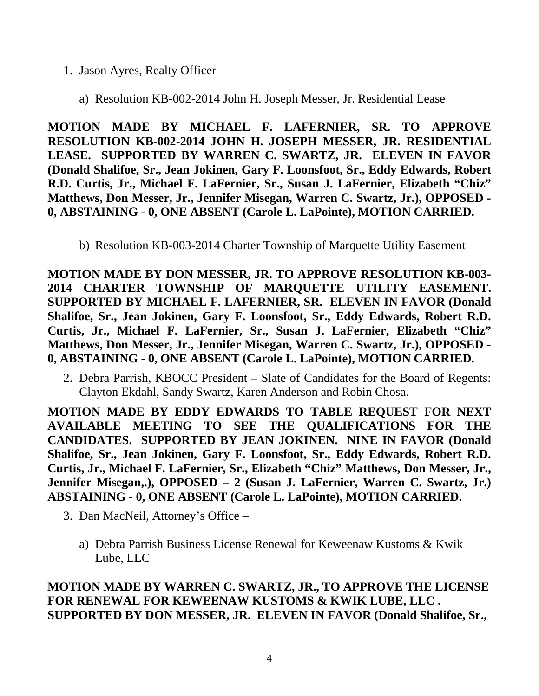- 1. Jason Ayres, Realty Officer
	- a) Resolution KB-002-2014 John H. Joseph Messer, Jr. Residential Lease

**MOTION MADE BY MICHAEL F. LAFERNIER, SR. TO APPROVE RESOLUTION KB-002-2014 JOHN H. JOSEPH MESSER, JR. RESIDENTIAL LEASE. SUPPORTED BY WARREN C. SWARTZ, JR. ELEVEN IN FAVOR (Donald Shalifoe, Sr., Jean Jokinen, Gary F. Loonsfoot, Sr., Eddy Edwards, Robert R.D. Curtis, Jr., Michael F. LaFernier, Sr., Susan J. LaFernier, Elizabeth "Chiz" Matthews, Don Messer, Jr., Jennifer Misegan, Warren C. Swartz, Jr.), OPPOSED - 0, ABSTAINING - 0, ONE ABSENT (Carole L. LaPointe), MOTION CARRIED.**

b) Resolution KB-003-2014 Charter Township of Marquette Utility Easement

**MOTION MADE BY DON MESSER, JR. TO APPROVE RESOLUTION KB-003- 2014 CHARTER TOWNSHIP OF MARQUETTE UTILITY EASEMENT. SUPPORTED BY MICHAEL F. LAFERNIER, SR. ELEVEN IN FAVOR (Donald Shalifoe, Sr., Jean Jokinen, Gary F. Loonsfoot, Sr., Eddy Edwards, Robert R.D. Curtis, Jr., Michael F. LaFernier, Sr., Susan J. LaFernier, Elizabeth "Chiz" Matthews, Don Messer, Jr., Jennifer Misegan, Warren C. Swartz, Jr.), OPPOSED - 0, ABSTAINING - 0, ONE ABSENT (Carole L. LaPointe), MOTION CARRIED.**

2. Debra Parrish, KBOCC President – Slate of Candidates for the Board of Regents: Clayton Ekdahl, Sandy Swartz, Karen Anderson and Robin Chosa.

**MOTION MADE BY EDDY EDWARDS TO TABLE REQUEST FOR NEXT AVAILABLE MEETING TO SEE THE QUALIFICATIONS FOR THE CANDIDATES. SUPPORTED BY JEAN JOKINEN. NINE IN FAVOR (Donald Shalifoe, Sr., Jean Jokinen, Gary F. Loonsfoot, Sr., Eddy Edwards, Robert R.D. Curtis, Jr., Michael F. LaFernier, Sr., Elizabeth "Chiz" Matthews, Don Messer, Jr., Jennifer Misegan,.), OPPOSED – 2 (Susan J. LaFernier, Warren C. Swartz, Jr.) ABSTAINING - 0, ONE ABSENT (Carole L. LaPointe), MOTION CARRIED.**

- 3. Dan MacNeil, Attorney's Office
	- a) Debra Parrish Business License Renewal for Keweenaw Kustoms & Kwik Lube, LLC

# **MOTION MADE BY WARREN C. SWARTZ, JR., TO APPROVE THE LICENSE FOR RENEWAL FOR KEWEENAW KUSTOMS & KWIK LUBE, LLC . SUPPORTED BY DON MESSER, JR. ELEVEN IN FAVOR (Donald Shalifoe, Sr.,**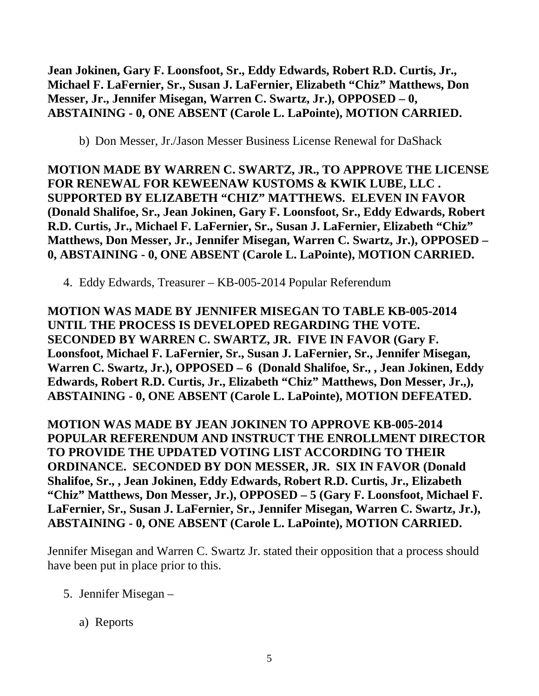**Jean Jokinen, Gary F. Loonsfoot, Sr., Eddy Edwards, Robert R.D. Curtis, Jr., Michael F. LaFernier, Sr., Susan J. LaFernier, Elizabeth "Chiz" Matthews, Don Messer, Jr., Jennifer Misegan, Warren C. Swartz, Jr.), OPPOSED – 0, ABSTAINING - 0, ONE ABSENT (Carole L. LaPointe), MOTION CARRIED.**

b) Don Messer, Jr./Jason Messer Business License Renewal for DaShack

**MOTION MADE BY WARREN C. SWARTZ, JR., TO APPROVE THE LICENSE FOR RENEWAL FOR KEWEENAW KUSTOMS & KWIK LUBE, LLC . SUPPORTED BY ELIZABETH "CHIZ" MATTHEWS. ELEVEN IN FAVOR (Donald Shalifoe, Sr., Jean Jokinen, Gary F. Loonsfoot, Sr., Eddy Edwards, Robert R.D. Curtis, Jr., Michael F. LaFernier, Sr., Susan J. LaFernier, Elizabeth "Chiz" Matthews, Don Messer, Jr., Jennifer Misegan, Warren C. Swartz, Jr.), OPPOSED – 0, ABSTAINING - 0, ONE ABSENT (Carole L. LaPointe), MOTION CARRIED.**

4. Eddy Edwards, Treasurer – KB-005-2014 Popular Referendum

**MOTION WAS MADE BY JENNIFER MISEGAN TO TABLE KB-005-2014 UNTIL THE PROCESS IS DEVELOPED REGARDING THE VOTE. SECONDED BY WARREN C. SWARTZ, JR. FIVE IN FAVOR (Gary F. Loonsfoot, Michael F. LaFernier, Sr., Susan J. LaFernier, Sr., Jennifer Misegan, Warren C. Swartz, Jr.), OPPOSED – 6 (Donald Shalifoe, Sr., , Jean Jokinen, Eddy Edwards, Robert R.D. Curtis, Jr., Elizabeth "Chiz" Matthews, Don Messer, Jr.,), ABSTAINING - 0, ONE ABSENT (Carole L. LaPointe), MOTION DEFEATED.**

**MOTION WAS MADE BY JEAN JOKINEN TO APPROVE KB-005-2014 POPULAR REFERENDUM AND INSTRUCT THE ENROLLMENT DIRECTOR TO PROVIDE THE UPDATED VOTING LIST ACCORDING TO THEIR ORDINANCE. SECONDED BY DON MESSER, JR. SIX IN FAVOR (Donald Shalifoe, Sr., , Jean Jokinen, Eddy Edwards, Robert R.D. Curtis, Jr., Elizabeth "Chiz" Matthews, Don Messer, Jr.), OPPOSED – 5 (Gary F. Loonsfoot, Michael F. LaFernier, Sr., Susan J. LaFernier, Sr., Jennifer Misegan, Warren C. Swartz, Jr.), ABSTAINING - 0, ONE ABSENT (Carole L. LaPointe), MOTION CARRIED.**

Jennifer Misegan and Warren C. Swartz Jr. stated their opposition that a process should have been put in place prior to this.

- 5. Jennifer Misegan
	- a) Reports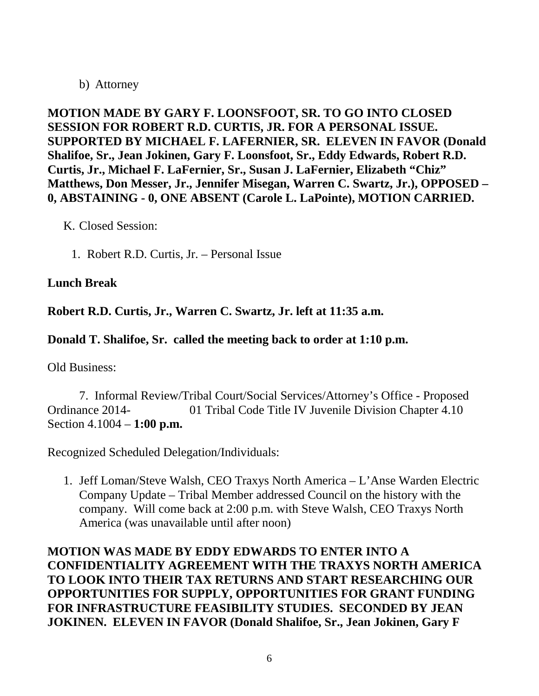### b) Attorney

**MOTION MADE BY GARY F. LOONSFOOT, SR. TO GO INTO CLOSED SESSION FOR ROBERT R.D. CURTIS, JR. FOR A PERSONAL ISSUE. SUPPORTED BY MICHAEL F. LAFERNIER, SR. ELEVEN IN FAVOR (Donald Shalifoe, Sr., Jean Jokinen, Gary F. Loonsfoot, Sr., Eddy Edwards, Robert R.D. Curtis, Jr., Michael F. LaFernier, Sr., Susan J. LaFernier, Elizabeth "Chiz" Matthews, Don Messer, Jr., Jennifer Misegan, Warren C. Swartz, Jr.), OPPOSED – 0, ABSTAINING - 0, ONE ABSENT (Carole L. LaPointe), MOTION CARRIED.**

K. Closed Session:

1. Robert R.D. Curtis, Jr. – Personal Issue

# **Lunch Break**

**Robert R.D. Curtis, Jr., Warren C. Swartz, Jr. left at 11:35 a.m.**

**Donald T. Shalifoe, Sr. called the meeting back to order at 1:10 p.m.**

Old Business:

7. Informal Review/Tribal Court/Social Services/Attorney's Office - Proposed Ordinance 2014- 01 Tribal Code Title IV Juvenile Division Chapter 4.10 Section 4.1004 – **1:00 p.m.**

Recognized Scheduled Delegation/Individuals:

1. Jeff Loman/Steve Walsh, CEO Traxys North America – L'Anse Warden Electric Company Update – Tribal Member addressed Council on the history with the company. Will come back at 2:00 p.m. with Steve Walsh, CEO Traxys North America (was unavailable until after noon)

**MOTION WAS MADE BY EDDY EDWARDS TO ENTER INTO A CONFIDENTIALITY AGREEMENT WITH THE TRAXYS NORTH AMERICA TO LOOK INTO THEIR TAX RETURNS AND START RESEARCHING OUR OPPORTUNITIES FOR SUPPLY, OPPORTUNITIES FOR GRANT FUNDING FOR INFRASTRUCTURE FEASIBILITY STUDIES. SECONDED BY JEAN JOKINEN. ELEVEN IN FAVOR (Donald Shalifoe, Sr., Jean Jokinen, Gary F**